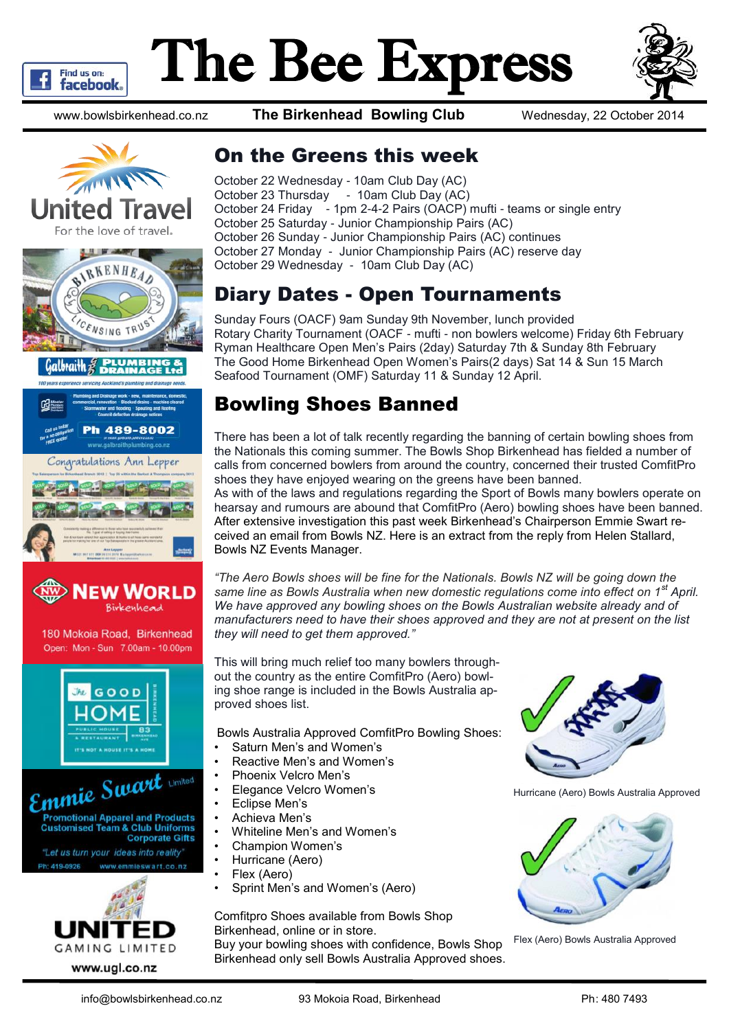

# The Bee Express



www.bowlsbirkenhead.co.nz **The Birkenhead Bowling Club** Wednesday, 22 October 2014

For the love of travel. **THE MILLION CONTRACTOR BIRKENHEAD** TRU **Galbraith** 489-8002 ongratulations Ann Lepper





180 Mokoia Road, Birkenhead Open: Mon - Sun 7.00am - 10.00pm



Emmie Swart **Promotional Apparel and Products Customised Team & Club Uniforms Corporate Gifts** "Let us turn your ideas into reality"

Ph: 419-0926 www.emmleswart.co.nz



### On the Greens this week

October 22 Wednesday - 10am Club Day (AC) October 23 Thursday - 10am Club Day (AC) October 24 Friday - 1pm 2-4-2 Pairs (OACP) mufti - teams or single entry October 25 Saturday - Junior Championship Pairs (AC) October 26 Sunday - Junior Championship Pairs (AC) continues October 27 Monday - Junior Championship Pairs (AC) reserve day October 29 Wednesday - 10am Club Day (AC)

### Diary Dates - Open Tournaments

Sunday Fours (OACF) 9am Sunday 9th November, lunch provided Rotary Charity Tournament (OACF - mufti - non bowlers welcome) Friday 6th February Ryman Healthcare Open Men's Pairs (2day) Saturday 7th & Sunday 8th February The Good Home Birkenhead Open Women's Pairs(2 days) Sat 14 & Sun 15 March Seafood Tournament (OMF) Saturday 11 & Sunday 12 April.

### Bowling Shoes Banned

There has been a lot of talk recently regarding the banning of certain bowling shoes from the Nationals this coming summer. The Bowls Shop Birkenhead has fielded a number of calls from concerned bowlers from around the country, concerned their trusted ComfitPro shoes they have enjoyed wearing on the greens have been banned.

As with of the laws and regulations regarding the Sport of Bowls many bowlers operate on hearsay and rumours are abound that ComfitPro (Aero) bowling shoes have been banned. After extensive investigation this past week Birkenhead's Chairperson Emmie Swart received an email from Bowls NZ. Here is an extract from the reply from Helen Stallard, Bowls NZ Events Manager.

*"The Aero Bowls shoes will be fine for the Nationals. Bowls NZ will be going down the same line as Bowls Australia when new domestic regulations come into effect on 1st April. We have approved any bowling shoes on the Bowls Australian website already and of manufacturers need to have their shoes approved and they are not at present on the list they will need to get them approved."*

This will bring much relief too many bowlers throughout the country as the entire ComfitPro (Aero) bowling shoe range is included in the Bowls Australia approved shoes list.

Bowls Australia Approved ComfitPro Bowling Shoes:

- Saturn Men's and Women's
- Reactive Men's and Women's
- Phoenix Velcro Men's
- Elegance Velcro Women's
- Eclipse Men's
- Achieva Men's
- Whiteline Men's and Women's
- Champion Women's
- Hurricane (Aero)
- Flex (Aero)
- Sprint Men's and Women's (Aero)

Comfitpro Shoes available from Bowls Shop Birkenhead, online or in store.

Buy your bowling shoes with confidence, Bowls Shop Birkenhead only sell Bowls Australia Approved shoes.



Hurricane (Aero) Bowls Australia Approved



Flex (Aero) Bowls Australia Approved